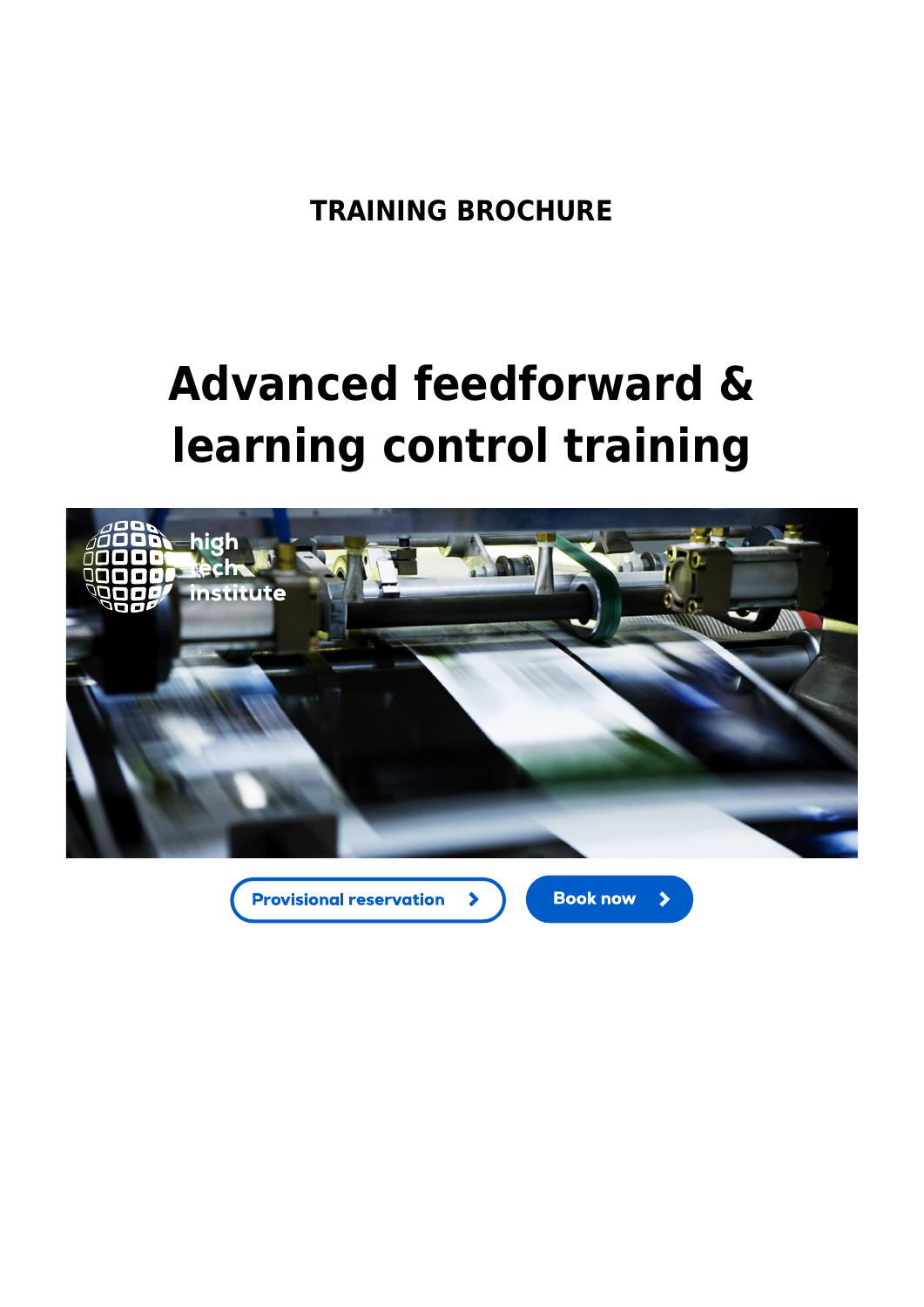**TRAINING BROCHURE**

# **Advanced feedforward & learning control training**



 $\blacktriangleright$ 

**Provisional reservation** 

**Book now** 

 $\blacktriangleright$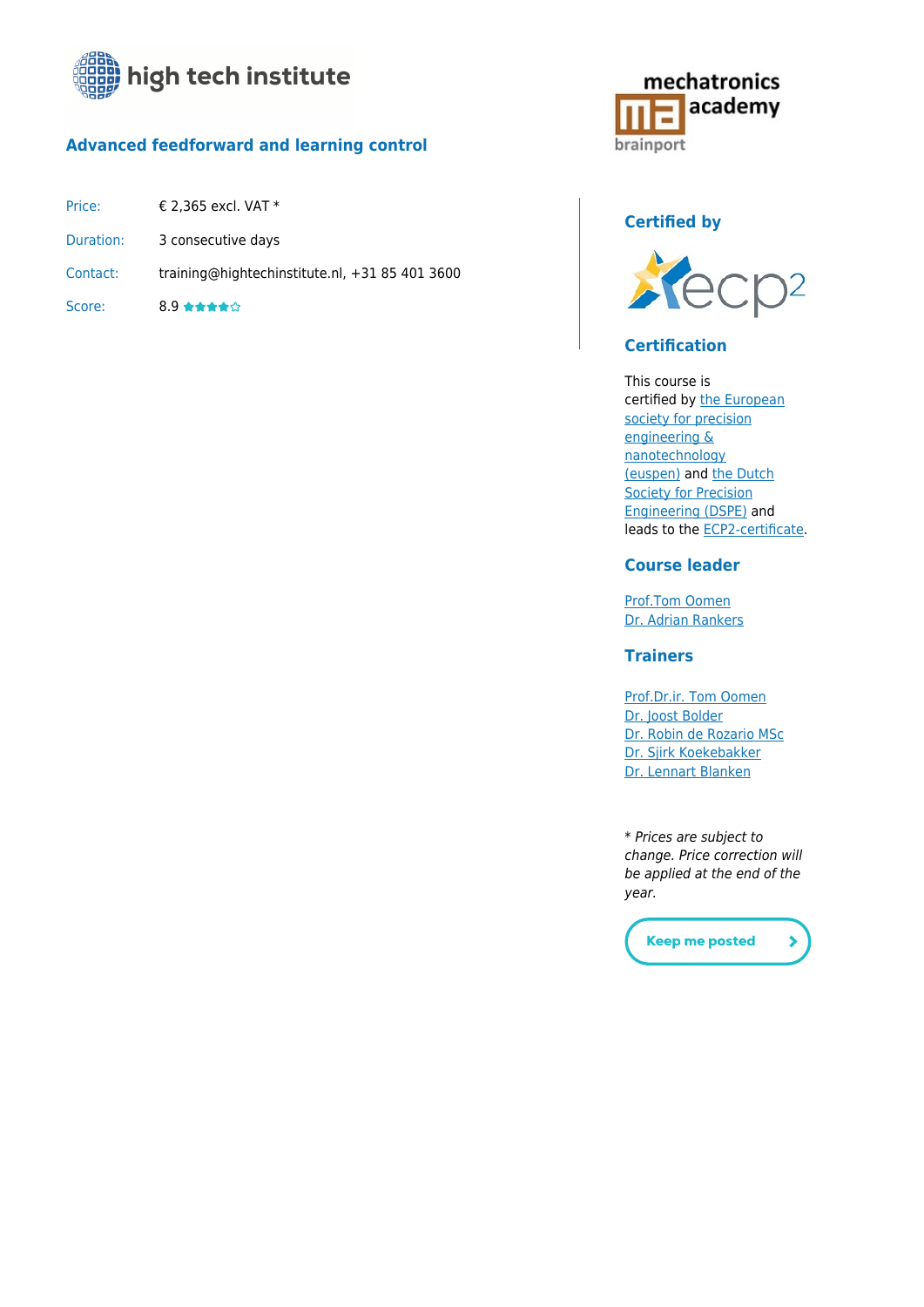

# **[Advanced feedforward and learning control](https://www.hightechinstitute.nl/courses/advanced-feedforward-learning-control/)**

| Price:    | € 2.365 excl. VAT $*$                          |
|-----------|------------------------------------------------|
| Duration: | 3 consecutive days                             |
| Contact:  | training@hightechinstitute.nl, +31 85 401 3600 |
| Score:    | $8.9 \star \star \star \star \circ$            |



## **Certified by**



## **Certification**

This course is certified by [the European](http://www.euspen.eu/) [society for precision](http://www.euspen.eu/) [engineering &](http://www.euspen.eu/) [nanotechnology](http://www.euspen.eu/) [\(euspen\)](http://www.euspen.eu/) and [the Dutch](http://www.dspe.nl/) [Society for Precision](http://www.dspe.nl/) [Engineering \(DSPE\)](http://www.dspe.nl/) and leads to the [ECP2-certificate.](http://www.ecp2.eu/)

#### **Course leader**

[Prof.Tom Oomen](#page--1-0) [Dr. Adrian Rankers](https://www.hightechinstitute.nl/teachers/rankers-adrian/)

**Trainers**

[Prof.Dr.ir. Tom Oomen](#page--1-0) [Dr. Joost Bolder](https://www.hightechinstitute.nl/teachers/joost-bolder/) [Dr. Robin de Rozario MSc](#page--1-0) [Dr. Sjirk Koekebakker](https://www.hightechinstitute.nl/teachers/sjirk-koekebakker/) [Dr. Lennart Blanken](#page--1-0)

\* Prices are subject to change. Price correction will be applied at the end of the year.

**Keep me posted** 

 $\blacktriangleright$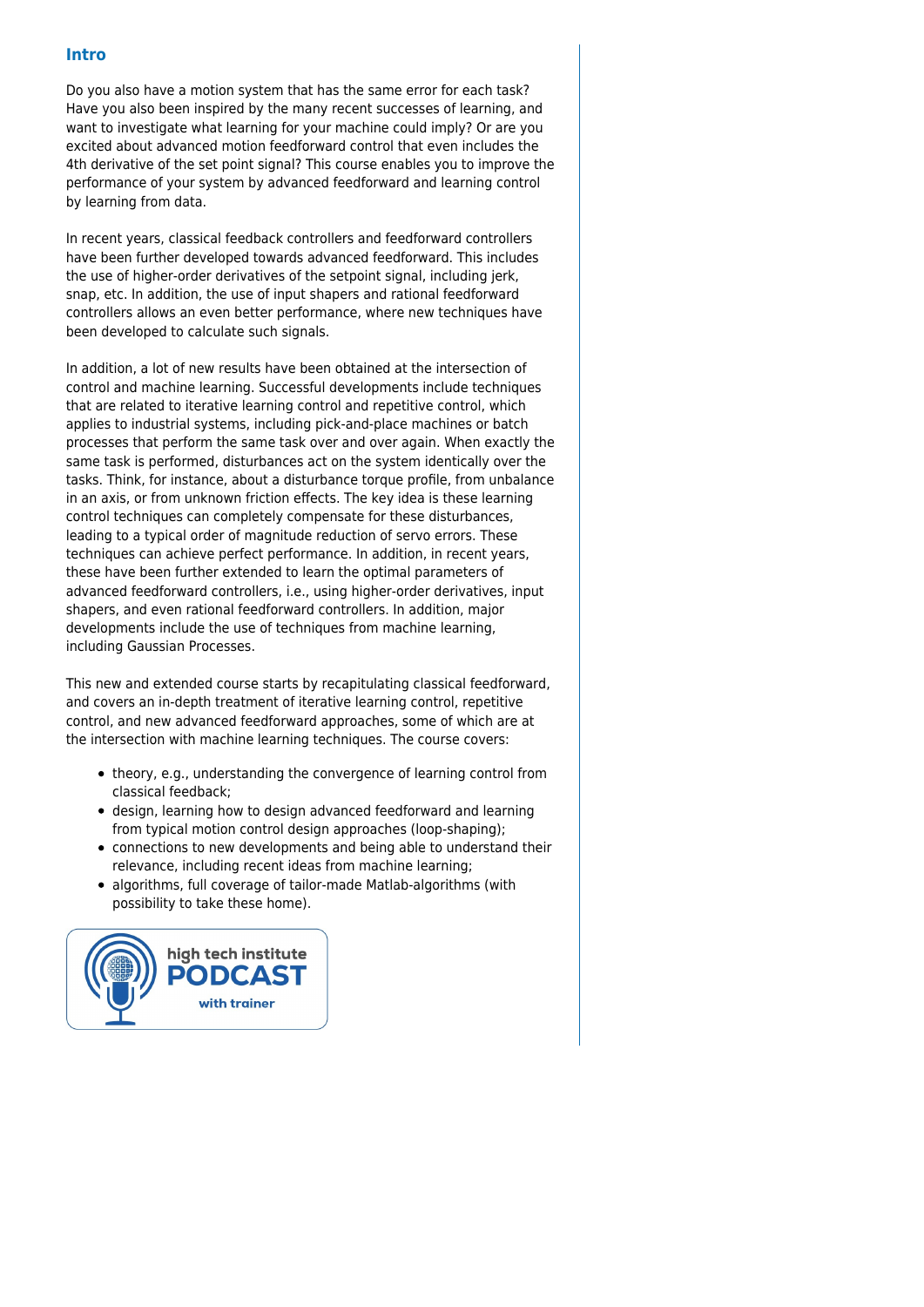#### **Intro**

Do you also have a motion system that has the same error for each task? Have you also been inspired by the many recent successes of learning, and want to investigate what learning for your machine could imply? Or are you excited about advanced motion feedforward control that even includes the 4th derivative of the set point signal? This course enables you to improve the performance of your system by advanced feedforward and learning control by learning from data.

In recent years, classical feedback controllers and feedforward controllers have been further developed towards advanced feedforward. This includes the use of higher-order derivatives of the setpoint signal, including jerk, snap, etc. In addition, the use of input shapers and rational feedforward controllers allows an even better performance, where new techniques have been developed to calculate such signals.

In addition, a lot of new results have been obtained at the intersection of control and machine learning. Successful developments include techniques that are related to iterative learning control and repetitive control, which applies to industrial systems, including pick-and-place machines or batch processes that perform the same task over and over again. When exactly the same task is performed, disturbances act on the system identically over the tasks. Think, for instance, about a disturbance torque profile, from unbalance in an axis, or from unknown friction effects. The key idea is these learning control techniques can completely compensate for these disturbances, leading to a typical order of magnitude reduction of servo errors. These techniques can achieve perfect performance. In addition, in recent years, these have been further extended to learn the optimal parameters of advanced feedforward controllers, i.e., using higher-order derivatives, input shapers, and even rational feedforward controllers. In addition, major developments include the use of techniques from machine learning, including Gaussian Processes.

This new and extended course starts by recapitulating classical feedforward, and covers an in-depth treatment of iterative learning control, repetitive control, and new advanced feedforward approaches, some of which are at the intersection with machine learning techniques. The course covers:

- theory, e.g., understanding the convergence of learning control from classical feedback;
- design, learning how to design advanced feedforward and learning from typical motion control design approaches (loop-shaping);
- connections to new developments and being able to understand their relevance, including recent ideas from machine learning;
- algorithms, full coverage of tailor-made Matlab-algorithms (with possibility to take these home).

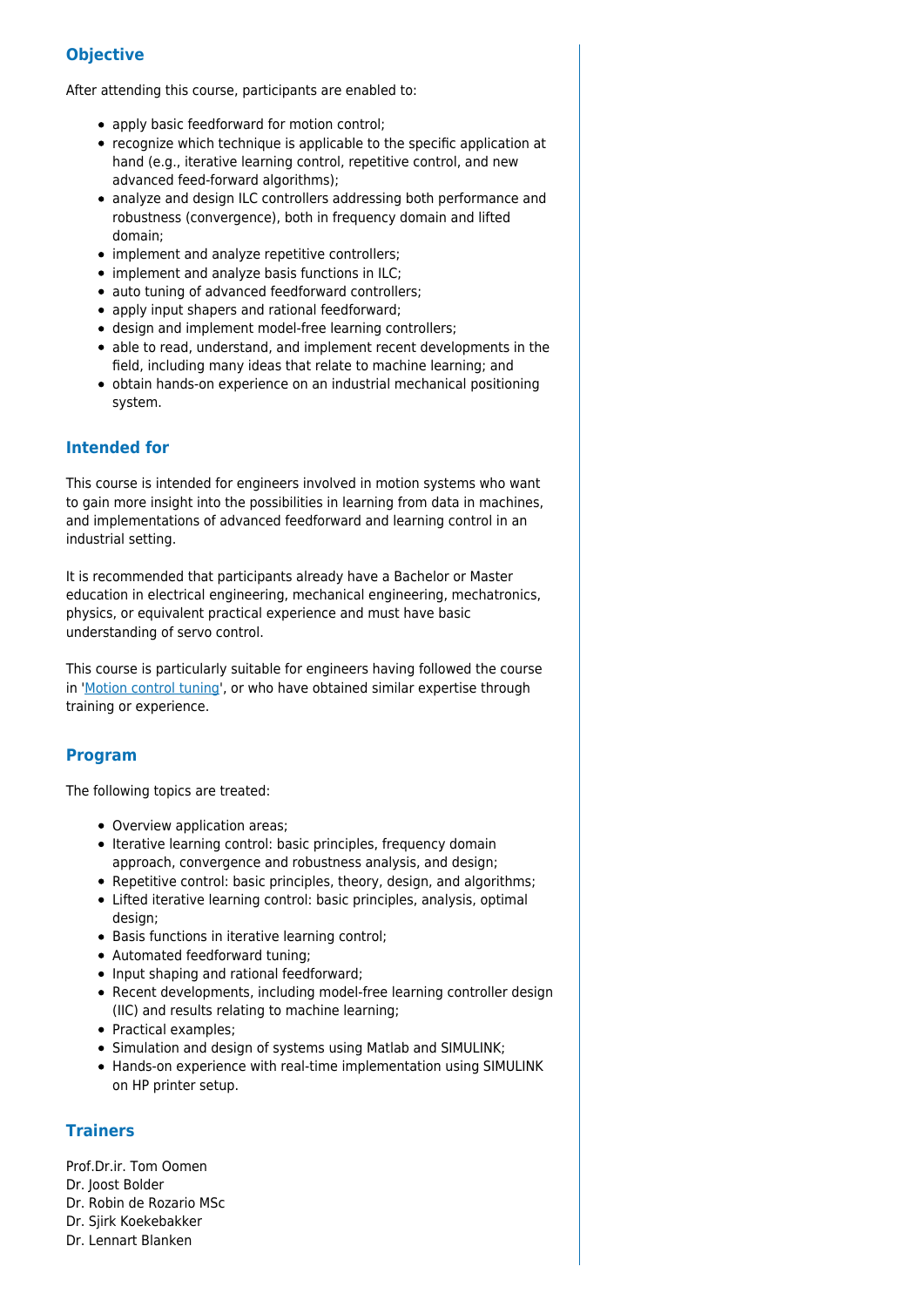# **Objective**

After attending this course, participants are enabled to:

- apply basic feedforward for motion control;
- recognize which technique is applicable to the specific application at hand (e.g., iterative learning control, repetitive control, and new advanced feed-forward algorithms);
- analyze and design ILC controllers addressing both performance and robustness (convergence), both in frequency domain and lifted domain;
- implement and analyze repetitive controllers;
- implement and analyze basis functions in ILC;
- auto tuning of advanced feedforward controllers;
- apply input shapers and rational feedforward;
- design and implement model-free learning controllers;
- able to read, understand, and implement recent developments in the field, including many ideas that relate to machine learning; and
- obtain hands-on experience on an industrial mechanical positioning system.

## **Intended for**

This course is intended for engineers involved in motion systems who want to gain more insight into the possibilities in learning from data in machines, and implementations of advanced feedforward and learning control in an industrial setting.

It is recommended that participants already have a Bachelor or Master education in electrical engineering, mechanical engineering, mechatronics, physics, or equivalent practical experience and must have basic understanding of servo control.

This course is particularly suitable for engineers having followed the course in '[Motion control tuning](https://www.hightechinstitute.nl/MCT)', or who have obtained similar expertise through training or experience.

## **Program**

The following topics are treated:

- Overview application areas;
- Iterative learning control: basic principles, frequency domain approach, convergence and robustness analysis, and design;
- Repetitive control: basic principles, theory, design, and algorithms;
- Lifted iterative learning control: basic principles, analysis, optimal design;
- Basis functions in iterative learning control;
- Automated feedforward tuning;
- Input shaping and rational feedforward;
- Recent developments, including model-free learning controller design (IIC) and results relating to machine learning;
- Practical examples;
- Simulation and design of systems using Matlab and SIMULINK;
- Hands-on experience with real-time implementation using SIMULINK on HP printer setup.

# **Trainers**

Prof.Dr.ir. Tom Oomen Dr. Joost Bolder Dr. Robin de Rozario MSc Dr. Sjirk Koekebakker Dr. Lennart Blanken